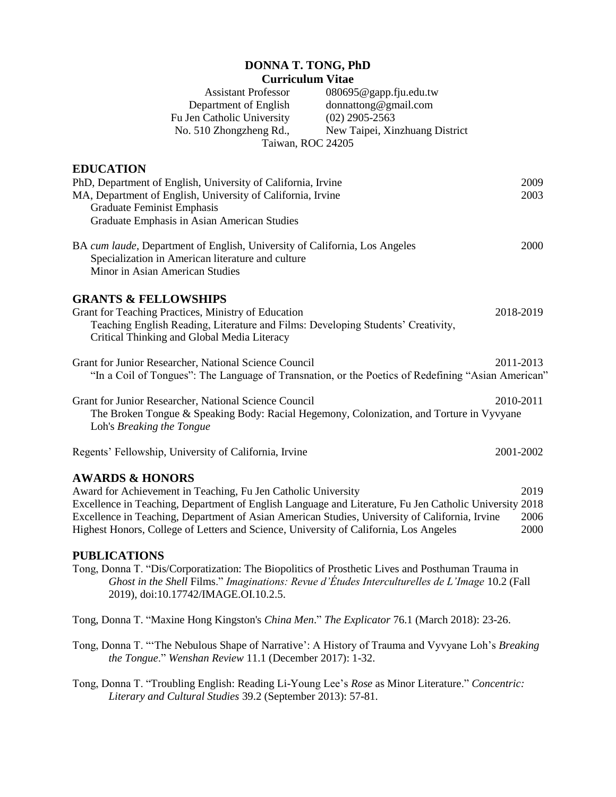## **DONNA T. TONG, PhD Curriculum Vitae**

Assistant Professor 080695@gapp.fju.edu.tw Department of English donnattong@gmail.com Fu Jen Catholic University (02) 2905-2563<br>No. 510 Zhongzheng Rd., New Taipei, Xin New Taipei, Xinzhuang District Taiwan, ROC 24205

| <b>EDUCATION</b>                                                                                                                                                                                                                                                                                                                                                                                 |                      |
|--------------------------------------------------------------------------------------------------------------------------------------------------------------------------------------------------------------------------------------------------------------------------------------------------------------------------------------------------------------------------------------------------|----------------------|
| PhD, Department of English, University of California, Irvine<br>MA, Department of English, University of California, Irvine<br><b>Graduate Feminist Emphasis</b><br>Graduate Emphasis in Asian American Studies                                                                                                                                                                                  | 2009<br>2003         |
| BA cum laude, Department of English, University of California, Los Angeles<br>Specialization in American literature and culture<br>Minor in Asian American Studies                                                                                                                                                                                                                               | 2000                 |
| <b>GRANTS &amp; FELLOWSHIPS</b><br>Grant for Teaching Practices, Ministry of Education<br>Teaching English Reading, Literature and Films: Developing Students' Creativity,<br>Critical Thinking and Global Media Literacy                                                                                                                                                                        | 2018-2019            |
| Grant for Junior Researcher, National Science Council<br>"In a Coil of Tongues": The Language of Transnation, or the Poetics of Redefining "Asian American"                                                                                                                                                                                                                                      | 2011-2013            |
| Grant for Junior Researcher, National Science Council<br>The Broken Tongue & Speaking Body: Racial Hegemony, Colonization, and Torture in Vyvyane<br>Loh's Breaking the Tongue                                                                                                                                                                                                                   | 2010-2011            |
| Regents' Fellowship, University of California, Irvine                                                                                                                                                                                                                                                                                                                                            | 2001-2002            |
| <b>AWARDS &amp; HONORS</b><br>Award for Achievement in Teaching, Fu Jen Catholic University<br>Excellence in Teaching, Department of English Language and Literature, Fu Jen Catholic University 2018<br>Excellence in Teaching, Department of Asian American Studies, University of California, Irvine<br>Highest Honors, College of Letters and Science, University of California, Los Angeles | 2019<br>2006<br>2000 |
| <b>PUBLICATIONS</b><br>Tong, Donna T. "Dis/Corporatization: The Biopolitics of Prosthetic Lives and Posthuman Trauma in<br>Ghost in the Shell Films." Imaginations: Revue d'Études Interculturelles de L'Image 10.2 (Fall<br>2019), doi:10.17742/IMAGE.OI.10.2.5.                                                                                                                                |                      |
| Tong, Donna T. "Maxine Hong Kingston's China Men." The Explicator 76.1 (March 2018): 23-26.                                                                                                                                                                                                                                                                                                      |                      |
| Tong, Donna T. "'The Nebulous Shape of Narrative': A History of Trauma and Vyvyane Loh's Breaking                                                                                                                                                                                                                                                                                                |                      |

Tong, Donna T. "Troubling English: Reading Li-Young Lee's *Rose* as Minor Literature." *Concentric: Literary and Cultural Studies* 39.2 (September 2013): 57-81.

*the Tongue*." *Wenshan Review* 11.1 (December 2017): 1-32.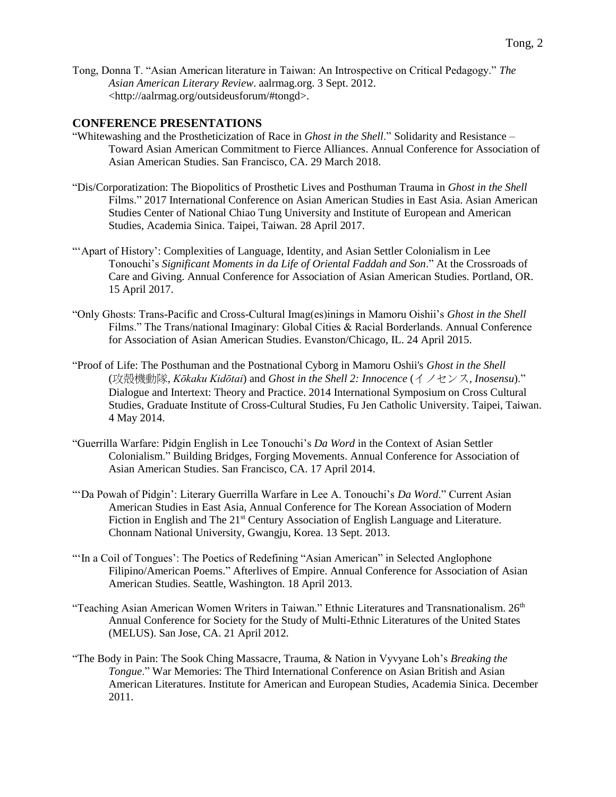Tong, Donna T. "Asian American literature in Taiwan: An Introspective on Critical Pedagogy." *The Asian American Literary Review*. aalrmag.org. 3 Sept. 2012. <http://aalrmag.org/outsideusforum/#tongd>.

### **CONFERENCE PRESENTATIONS**

- "Whitewashing and the Prostheticization of Race in *Ghost in the Shell*." Solidarity and Resistance Toward Asian American Commitment to Fierce Alliances. Annual Conference for Association of Asian American Studies. San Francisco, CA. 29 March 2018.
- "Dis/Corporatization: The Biopolitics of Prosthetic Lives and Posthuman Trauma in *Ghost in the Shell*  Films." 2017 International Conference on Asian American Studies in East Asia. Asian American Studies Center of National Chiao Tung University and Institute of European and American Studies, Academia Sinica. Taipei, Taiwan. 28 April 2017.
- "'Apart of History': Complexities of Language, Identity, and Asian Settler Colonialism in Lee Tonouchi's *Significant Moments in da Life of Oriental Faddah and Son*." At the Crossroads of Care and Giving. Annual Conference for Association of Asian American Studies. Portland, OR. 15 April 2017.
- "Only Ghosts: Trans-Pacific and Cross-Cultural Imag(es)inings in Mamoru Oishii's *Ghost in the Shell* Films." The Trans/national Imaginary: Global Cities & Racial Borderlands. Annual Conference for Association of Asian American Studies. Evanston/Chicago, IL. 24 April 2015.
- "Proof of Life: The Posthuman and the Postnational Cyborg in Mamoru Oshii's *Ghost in the Shell* (攻殻機動隊, *Kōkaku Kidōtai*) and *Ghost in the Shell 2: Innocence* (イノセンス, *Inosensu*)." Dialogue and Intertext: Theory and Practice. 2014 International Symposium on Cross Cultural Studies, Graduate Institute of Cross-Cultural Studies, Fu Jen Catholic University. Taipei, Taiwan. 4 May 2014.
- "Guerrilla Warfare: Pidgin English in Lee Tonouchi's *Da Word* in the Context of Asian Settler Colonialism." Building Bridges, Forging Movements. Annual Conference for Association of Asian American Studies. San Francisco, CA. 17 April 2014.
- "'Da Powah of Pidgin': Literary Guerrilla Warfare in Lee A. Tonouchi's *Da Word*." Current Asian American Studies in East Asia, Annual Conference for The Korean Association of Modern Fiction in English and The 21<sup>st</sup> Century Association of English Language and Literature. Chonnam National University, Gwangju, Korea. 13 Sept. 2013.
- "'In a Coil of Tongues': The Poetics of Redefining "Asian American" in Selected Anglophone Filipino/American Poems." Afterlives of Empire. Annual Conference for Association of Asian American Studies. Seattle, Washington. 18 April 2013.
- "Teaching Asian American Women Writers in Taiwan." Ethnic Literatures and Transnationalism.  $26<sup>th</sup>$ Annual Conference for Society for the Study of Multi-Ethnic Literatures of the United States (MELUS). San Jose, CA. 21 April 2012.
- "The Body in Pain: The Sook Ching Massacre, Trauma, & Nation in Vyvyane Loh's *Breaking the Tongue*." War Memories: The Third International Conference on Asian British and Asian American Literatures. Institute for American and European Studies, Academia Sinica. December 2011.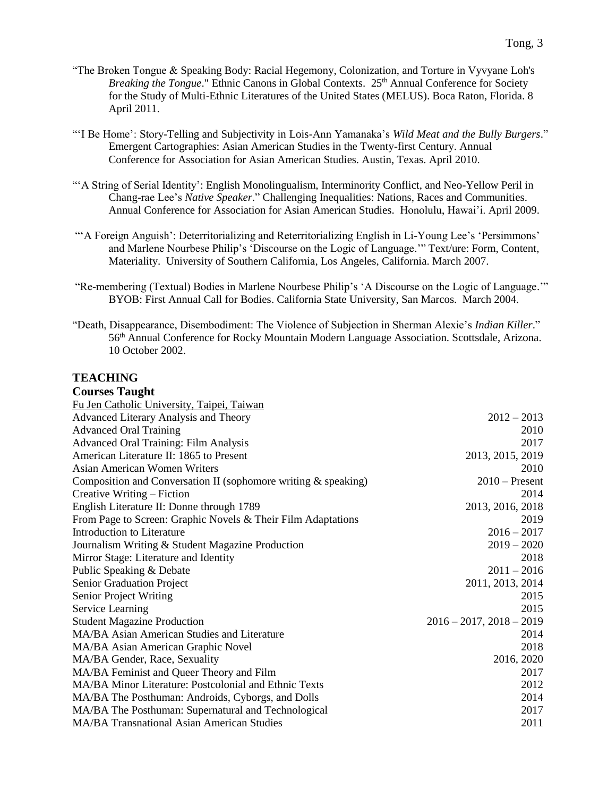- "'I Be Home': Story-Telling and Subjectivity in Lois-Ann Yamanaka's *Wild Meat and the Bully Burgers*." Emergent Cartographies: Asian American Studies in the Twenty-first Century. Annual Conference for Association for Asian American Studies. Austin, Texas. April 2010.
- "'A String of Serial Identity': English Monolingualism, Interminority Conflict, and Neo-Yellow Peril in Chang-rae Lee's *Native Speaker*." Challenging Inequalities: Nations, Races and Communities. Annual Conference for Association for Asian American Studies. Honolulu, Hawai'i. April 2009.
- "'A Foreign Anguish': Deterritorializing and Reterritorializing English in Li-Young Lee's 'Persimmons' and Marlene Nourbese Philip's 'Discourse on the Logic of Language.'" Text/ure: Form, Content, Materiality. University of Southern California, Los Angeles, California. March 2007.
- "Re-membering (Textual) Bodies in Marlene Nourbese Philip's 'A Discourse on the Logic of Language.'" BYOB: First Annual Call for Bodies. California State University, San Marcos. March 2004.
- "Death, Disappearance, Disembodiment: The Violence of Subjection in Sherman Alexie's *Indian Killer*." 56th Annual Conference for Rocky Mountain Modern Language Association. Scottsdale, Arizona. 10 October 2002.

### **TEACHING**

| <b>Courses Taught</b> |  |  |
|-----------------------|--|--|
|-----------------------|--|--|

| Fu Jen Catholic University, Taipei, Taiwan                     |                               |
|----------------------------------------------------------------|-------------------------------|
| <b>Advanced Literary Analysis and Theory</b>                   | $2012 - 2013$                 |
| <b>Advanced Oral Training</b>                                  | 2010                          |
| <b>Advanced Oral Training: Film Analysis</b>                   | 2017                          |
| American Literature II: 1865 to Present                        | 2013, 2015, 2019              |
| Asian American Women Writers                                   | 2010                          |
| Composition and Conversation II (sophomore writing & speaking) | $2010$ – Present              |
| Creative Writing – Fiction                                     | 2014                          |
| English Literature II: Donne through 1789                      | 2013, 2016, 2018              |
| From Page to Screen: Graphic Novels & Their Film Adaptations   | 2019                          |
| Introduction to Literature                                     | $2016 - 2017$                 |
| Journalism Writing & Student Magazine Production               | $2019 - 2020$                 |
| Mirror Stage: Literature and Identity                          | 2018                          |
| Public Speaking & Debate                                       | $2011 - 2016$                 |
| Senior Graduation Project                                      | 2011, 2013, 2014              |
| Senior Project Writing                                         | 2015                          |
| Service Learning                                               | 2015                          |
| <b>Student Magazine Production</b>                             | $2016 - 2017$ , $2018 - 2019$ |
| MA/BA Asian American Studies and Literature                    | 2014                          |
| MA/BA Asian American Graphic Novel                             | 2018                          |
| MA/BA Gender, Race, Sexuality                                  | 2016, 2020                    |
| MA/BA Feminist and Queer Theory and Film                       | 2017                          |
| MA/BA Minor Literature: Postcolonial and Ethnic Texts          | 2012                          |
| MA/BA The Posthuman: Androids, Cyborgs, and Dolls              | 2014                          |
| MA/BA The Posthuman: Supernatural and Technological            | 2017                          |
| <b>MA/BA Transnational Asian American Studies</b>              | 2011                          |